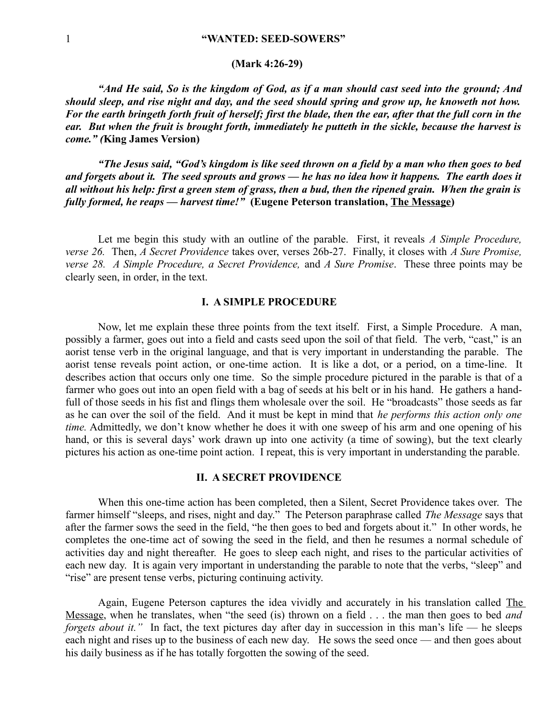## **(Mark 4:26-29)**

*"And He said, So is the kingdom of God, as if a man should cast seed into the ground; And should sleep, and rise night and day, and the seed should spring and grow up, he knoweth not how. For the earth bringeth forth fruit of herself; first the blade, then the ear, after that the full corn in the ear. But when the fruit is brought forth, immediately he putteth in the sickle, because the harvest is come." (***King James Version)**

*"The Jesus said, "God's kingdom is like seed thrown on a field by a man who then goes to bed and forgets about it. The seed sprouts and grows — he has no idea how it happens. The earth does it all without his help: first a green stem of grass, then a bud, then the ripened grain. When the grain is fully formed, he reaps — harvest time!"* **(Eugene Peterson translation, The Message)**

Let me begin this study with an outline of the parable. First, it reveals *A Simple Procedure, verse 26.* Then, *A Secret Providence* takes over, verses 26b-27. Finally, it closes with *A Sure Promise, verse 28. A Simple Procedure, a Secret Providence,* and *A Sure Promise*. These three points may be clearly seen, in order, in the text.

## **I. A SIMPLE PROCEDURE**

Now, let me explain these three points from the text itself. First, a Simple Procedure. A man, possibly a farmer, goes out into a field and casts seed upon the soil of that field. The verb, "cast," is an aorist tense verb in the original language, and that is very important in understanding the parable. The aorist tense reveals point action, or one-time action. It is like a dot, or a period, on a time-line. It describes action that occurs only one time. So the simple procedure pictured in the parable is that of a farmer who goes out into an open field with a bag of seeds at his belt or in his hand. He gathers a handfull of those seeds in his fist and flings them wholesale over the soil. He "broadcasts" those seeds as far as he can over the soil of the field. And it must be kept in mind that *he performs this action only one time.* Admittedly, we don't know whether he does it with one sweep of his arm and one opening of his hand, or this is several days' work drawn up into one activity (a time of sowing), but the text clearly pictures his action as one-time point action. I repeat, this is very important in understanding the parable.

## **II. A SECRET PROVIDENCE**

When this one-time action has been completed, then a Silent, Secret Providence takes over. The farmer himself "sleeps, and rises, night and day." The Peterson paraphrase called *The Message* says that after the farmer sows the seed in the field, "he then goes to bed and forgets about it." In other words, he completes the one-time act of sowing the seed in the field, and then he resumes a normal schedule of activities day and night thereafter. He goes to sleep each night, and rises to the particular activities of each new day. It is again very important in understanding the parable to note that the verbs, "sleep" and "rise" are present tense verbs, picturing continuing activity.

Again, Eugene Peterson captures the idea vividly and accurately in his translation called The Message, when he translates, when "the seed (is) thrown on a field . . . the man then goes to bed *and forgets about it.*" In fact, the text pictures day after day in succession in this man's life — he sleeps each night and rises up to the business of each new day. He sows the seed once — and then goes about his daily business as if he has totally forgotten the sowing of the seed.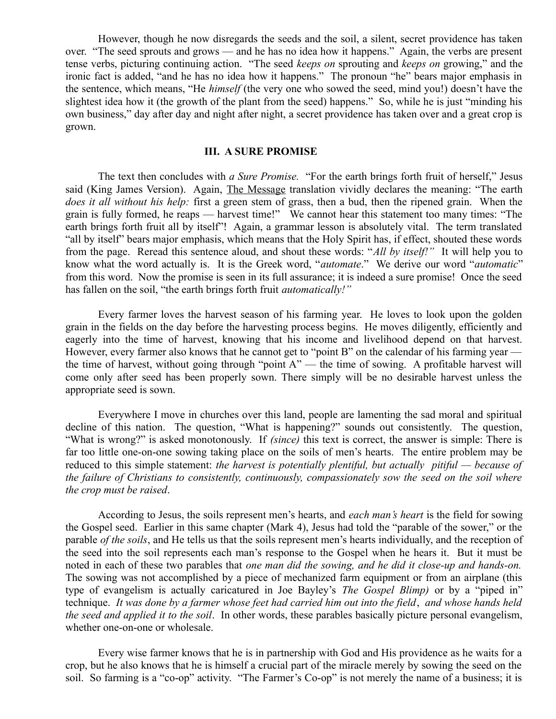However, though he now disregards the seeds and the soil, a silent, secret providence has taken over. "The seed sprouts and grows — and he has no idea how it happens." Again, the verbs are present tense verbs, picturing continuing action. "The seed *keeps on* sprouting and *keeps on* growing," and the ironic fact is added, "and he has no idea how it happens." The pronoun "he" bears major emphasis in the sentence, which means, "He *himself* (the very one who sowed the seed, mind you!) doesn't have the slightest idea how it (the growth of the plant from the seed) happens." So, while he is just "minding his own business," day after day and night after night, a secret providence has taken over and a great crop is grown.

## **III. A SURE PROMISE**

The text then concludes with *a Sure Promise.* "For the earth brings forth fruit of herself," Jesus said (King James Version). Again, The Message translation vividly declares the meaning: "The earth *does it all without his help:* first a green stem of grass, then a bud, then the ripened grain. When the grain is fully formed, he reaps — harvest time!" We cannot hear this statement too many times: "The earth brings forth fruit all by itself"! Again, a grammar lesson is absolutely vital. The term translated "all by itself" bears major emphasis, which means that the Holy Spirit has, if effect, shouted these words from the page. Reread this sentence aloud, and shout these words: "*All by itself!"* It will help you to know what the word actually is. It is the Greek word, "*automate*." We derive our word "*automatic*" from this word. Now the promise is seen in its full assurance; it is indeed a sure promise! Once the seed has fallen on the soil, "the earth brings forth fruit *automatically!"*

Every farmer loves the harvest season of his farming year. He loves to look upon the golden grain in the fields on the day before the harvesting process begins. He moves diligently, efficiently and eagerly into the time of harvest, knowing that his income and livelihood depend on that harvest. However, every farmer also knows that he cannot get to "point B" on the calendar of his farming year the time of harvest, without going through "point A" — the time of sowing. A profitable harvest will come only after seed has been properly sown. There simply will be no desirable harvest unless the appropriate seed is sown.

Everywhere I move in churches over this land, people are lamenting the sad moral and spiritual decline of this nation. The question, "What is happening?" sounds out consistently. The question, "What is wrong?" is asked monotonously. If *(since)* this text is correct, the answer is simple: There is far too little one-on-one sowing taking place on the soils of men's hearts. The entire problem may be reduced to this simple statement: *the harvest is potentially plentiful, but actually pitiful — because of the failure of Christians to consistently, continuously, compassionately sow the seed on the soil where the crop must be raised*.

According to Jesus, the soils represent men's hearts, and *each man's heart* is the field for sowing the Gospel seed. Earlier in this same chapter (Mark 4), Jesus had told the "parable of the sower," or the parable *of the soils*, and He tells us that the soils represent men's hearts individually, and the reception of the seed into the soil represents each man's response to the Gospel when he hears it. But it must be noted in each of these two parables that *one man did the sowing, and he did it close-up and hands-on.* The sowing was not accomplished by a piece of mechanized farm equipment or from an airplane (this type of evangelism is actually caricatured in Joe Bayley's *The Gospel Blimp)* or by a "piped in" technique. *It was done by a farmer whose feet had carried him out into the field*, *and whose hands held the seed and applied it to the soil*. In other words, these parables basically picture personal evangelism, whether one-on-one or wholesale.

Every wise farmer knows that he is in partnership with God and His providence as he waits for a crop, but he also knows that he is himself a crucial part of the miracle merely by sowing the seed on the soil. So farming is a "co-op" activity. "The Farmer's Co-op" is not merely the name of a business; it is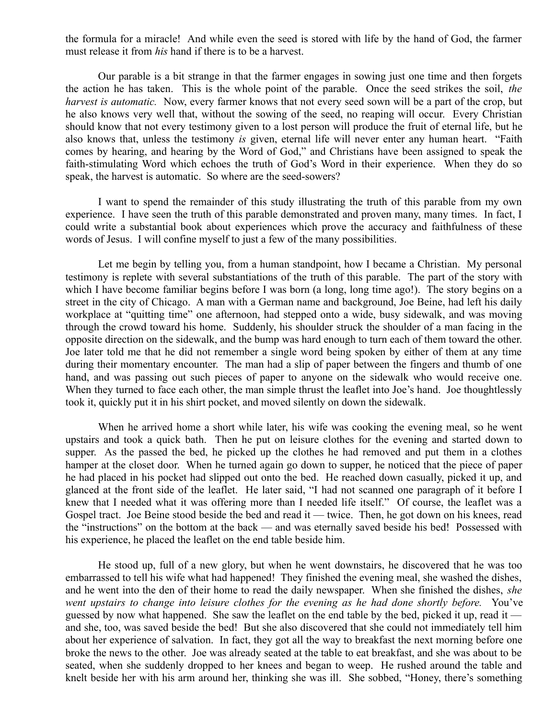the formula for a miracle! And while even the seed is stored with life by the hand of God, the farmer must release it from *his* hand if there is to be a harvest.

Our parable is a bit strange in that the farmer engages in sowing just one time and then forgets the action he has taken. This is the whole point of the parable. Once the seed strikes the soil, *the harvest is automatic.* Now, every farmer knows that not every seed sown will be a part of the crop, but he also knows very well that, without the sowing of the seed, no reaping will occur. Every Christian should know that not every testimony given to a lost person will produce the fruit of eternal life, but he also knows that, unless the testimony *is* given, eternal life will never enter any human heart. "Faith comes by hearing, and hearing by the Word of God," and Christians have been assigned to speak the faith-stimulating Word which echoes the truth of God's Word in their experience. When they do so speak, the harvest is automatic. So where are the seed-sowers?

I want to spend the remainder of this study illustrating the truth of this parable from my own experience. I have seen the truth of this parable demonstrated and proven many, many times. In fact, I could write a substantial book about experiences which prove the accuracy and faithfulness of these words of Jesus. I will confine myself to just a few of the many possibilities.

Let me begin by telling you, from a human standpoint, how I became a Christian. My personal testimony is replete with several substantiations of the truth of this parable. The part of the story with which I have become familiar begins before I was born (a long, long time ago!). The story begins on a street in the city of Chicago. A man with a German name and background, Joe Beine, had left his daily workplace at "quitting time" one afternoon, had stepped onto a wide, busy sidewalk, and was moving through the crowd toward his home. Suddenly, his shoulder struck the shoulder of a man facing in the opposite direction on the sidewalk, and the bump was hard enough to turn each of them toward the other. Joe later told me that he did not remember a single word being spoken by either of them at any time during their momentary encounter. The man had a slip of paper between the fingers and thumb of one hand, and was passing out such pieces of paper to anyone on the sidewalk who would receive one. When they turned to face each other, the man simple thrust the leaflet into Joe's hand. Joe thoughtlessly took it, quickly put it in his shirt pocket, and moved silently on down the sidewalk.

When he arrived home a short while later, his wife was cooking the evening meal, so he went upstairs and took a quick bath. Then he put on leisure clothes for the evening and started down to supper. As the passed the bed, he picked up the clothes he had removed and put them in a clothes hamper at the closet door. When he turned again go down to supper, he noticed that the piece of paper he had placed in his pocket had slipped out onto the bed. He reached down casually, picked it up, and glanced at the front side of the leaflet. He later said, "I had not scanned one paragraph of it before I knew that I needed what it was offering more than I needed life itself." Of course, the leaflet was a Gospel tract. Joe Beine stood beside the bed and read it — twice. Then, he got down on his knees, read the "instructions" on the bottom at the back — and was eternally saved beside his bed! Possessed with his experience, he placed the leaflet on the end table beside him.

He stood up, full of a new glory, but when he went downstairs, he discovered that he was too embarrassed to tell his wife what had happened! They finished the evening meal, she washed the dishes, and he went into the den of their home to read the daily newspaper. When she finished the dishes, *she went upstairs to change into leisure clothes for the evening as he had done shortly before.* You've guessed by now what happened. She saw the leaflet on the end table by the bed, picked it up, read it and she, too, was saved beside the bed! But she also discovered that she could not immediately tell him about her experience of salvation. In fact, they got all the way to breakfast the next morning before one broke the news to the other. Joe was already seated at the table to eat breakfast, and she was about to be seated, when she suddenly dropped to her knees and began to weep. He rushed around the table and knelt beside her with his arm around her, thinking she was ill. She sobbed, "Honey, there's something